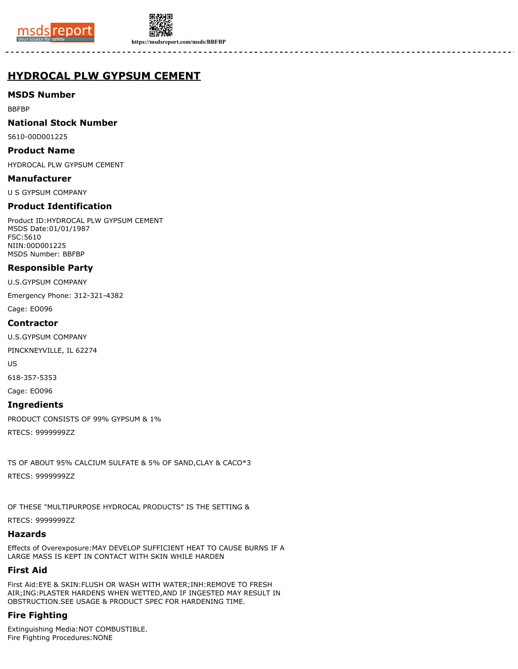



**https://msdsreport.com/msds/BBFBP**

# **HYDROCAL PLW GYPSUM CEMENT**

# **MSDS Number**

BBFBP

#### **National Stock Number**

5610-00D001225

#### **Product Name**

HYDROCAL PLW GYPSUM CEMENT

#### **Manufacturer**

U S GYPSUM COMPANY

# **Product Identification**

Product ID:HYDROCAL PLW GYPSUM CEMENT MSDS Date:01/01/1987 FSC:5610 NIIN:00D001225 MSDS Number: BBFBP

# **Responsible Party**

U.S.GYPSUM COMPANY

Emergency Phone: 312-321-4382

Cage: EO096

#### **Contractor**

U.S.GYPSUM COMPANY

PINCKNEYVILLE, IL 62274

US

618-357-5353

Cage: EO096

# **Ingredients**

PRODUCT CONSISTS OF 99% GYPSUM & 1%

RTECS: 9999999ZZ

TS OF ABOUT 95% CALCIUM SULFATE & 5% OF SAND,CLAY & CACO\*3

RTECS: 9999999ZZ

OF THESE "MULTIPURPOSE HYDROCAL PRODUCTS" IS THE SETTING &

RTECS: 9999999ZZ

### **Hazards**

Effects of Overexposure:MAY DEVELOP SUFFICIENT HEAT TO CAUSE BURNS IF A LARGE MASS IS KEPT IN CONTACT WITH SKIN WHILE HARDEN

# **First Aid**

First Aid:EYE & SKIN:FLUSH OR WASH WITH WATER;INH:REMOVE TO FRESH AIR;ING:PLASTER HARDENS WHEN WETTED,AND IF INGESTED MAY RESULT IN OBSTRUCTION.SEE USAGE & PRODUCT SPEC FOR HARDENING TIME.

# **Fire Fighting**

Extinguishing Media:NOT COMBUSTIBLE. Fire Fighting Procedures:NONE